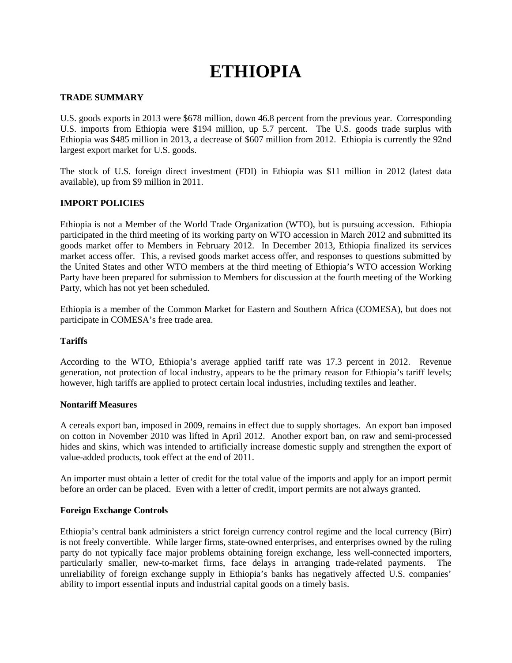# **ETHIOPIA**

## **TRADE SUMMARY**

U.S. goods exports in 2013 were \$678 million, down 46.8 percent from the previous year. Corresponding U.S. imports from Ethiopia were \$194 million, up 5.7 percent. The U.S. goods trade surplus with Ethiopia was \$485 million in 2013, a decrease of \$607 million from 2012. Ethiopia is currently the 92nd largest export market for U.S. goods.

The stock of U.S. foreign direct investment (FDI) in Ethiopia was \$11 million in 2012 (latest data available), up from \$9 million in 2011.

# **IMPORT POLICIES**

Ethiopia is not a Member of the World Trade Organization (WTO), but is pursuing accession. Ethiopia participated in the third meeting of its working party on WTO accession in March 2012 and submitted its goods market offer to Members in February 2012. In December 2013, Ethiopia finalized its services market access offer. This, a revised goods market access offer, and responses to questions submitted by the United States and other WTO members at the third meeting of Ethiopia's WTO accession Working Party have been prepared for submission to Members for discussion at the fourth meeting of the Working Party, which has not yet been scheduled.

Ethiopia is a member of the Common Market for Eastern and Southern Africa (COMESA), but does not participate in COMESA's free trade area.

## **Tariffs**

According to the WTO, Ethiopia's average applied tariff rate was 17.3 percent in 2012. Revenue generation, not protection of local industry, appears to be the primary reason for Ethiopia's tariff levels; however, high tariffs are applied to protect certain local industries, including textiles and leather.

#### **Nontariff Measures**

A cereals export ban, imposed in 2009, remains in effect due to supply shortages. An export ban imposed on cotton in November 2010 was lifted in April 2012. Another export ban, on raw and semi-processed hides and skins, which was intended to artificially increase domestic supply and strengthen the export of value-added products, took effect at the end of 2011.

An importer must obtain a letter of credit for the total value of the imports and apply for an import permit before an order can be placed. Even with a letter of credit, import permits are not always granted.

## **Foreign Exchange Controls**

Ethiopia's central bank administers a strict foreign currency control regime and the local currency (Birr) is not freely convertible. While larger firms, state-owned enterprises, and enterprises owned by the ruling party do not typically face major problems obtaining foreign exchange, less well-connected importers, particularly smaller, new-to-market firms, face delays in arranging trade-related payments. The unreliability of foreign exchange supply in Ethiopia's banks has negatively affected U.S. companies' ability to import essential inputs and industrial capital goods on a timely basis.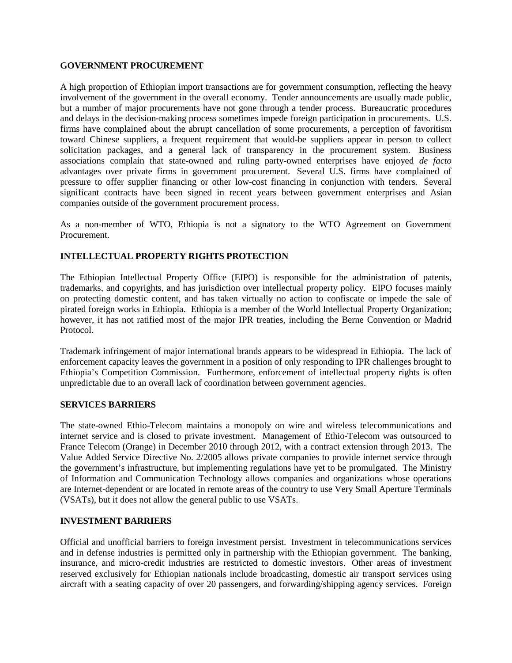#### **GOVERNMENT PROCUREMENT**

A high proportion of Ethiopian import transactions are for government consumption, reflecting the heavy involvement of the government in the overall economy. Tender announcements are usually made public, but a number of major procurements have not gone through a tender process. Bureaucratic procedures and delays in the decision-making process sometimes impede foreign participation in procurements. U.S. firms have complained about the abrupt cancellation of some procurements, a perception of favoritism toward Chinese suppliers, a frequent requirement that would-be suppliers appear in person to collect solicitation packages, and a general lack of transparency in the procurement system. Business associations complain that state-owned and ruling party-owned enterprises have enjoyed *de facto*  advantages over private firms in government procurement. Several U.S. firms have complained of pressure to offer supplier financing or other low-cost financing in conjunction with tenders. Several significant contracts have been signed in recent years between government enterprises and Asian companies outside of the government procurement process.

As a non-member of WTO, Ethiopia is not a signatory to the WTO Agreement on Government Procurement.

# **INTELLECTUAL PROPERTY RIGHTS PROTECTION**

The Ethiopian Intellectual Property Office (EIPO) is responsible for the administration of patents, trademarks, and copyrights, and has jurisdiction over intellectual property policy. EIPO focuses mainly on protecting domestic content, and has taken virtually no action to confiscate or impede the sale of pirated foreign works in Ethiopia. Ethiopia is a member of the World Intellectual Property Organization; however, it has not ratified most of the major IPR treaties, including the Berne Convention or Madrid Protocol.

Trademark infringement of major international brands appears to be widespread in Ethiopia. The lack of enforcement capacity leaves the government in a position of only responding to IPR challenges brought to Ethiopia's Competition Commission. Furthermore, enforcement of intellectual property rights is often unpredictable due to an overall lack of coordination between government agencies.

#### **SERVICES BARRIERS**

The state-owned Ethio-Telecom maintains a monopoly on wire and wireless telecommunications and internet service and is closed to private investment. Management of Ethio-Telecom was outsourced to France Telecom (Orange) in December 2010 through 2012, with a contract extension through 2013. The Value Added Service Directive No. 2/2005 allows private companies to provide internet service through the government's infrastructure, but implementing regulations have yet to be promulgated. The Ministry of Information and Communication Technology allows companies and organizations whose operations are Internet-dependent or are located in remote areas of the country to use Very Small Aperture Terminals (VSATs), but it does not allow the general public to use VSATs.

## **INVESTMENT BARRIERS**

Official and unofficial barriers to foreign investment persist. Investment in telecommunications services and in defense industries is permitted only in partnership with the Ethiopian government. The banking, insurance, and micro-credit industries are restricted to domestic investors. Other areas of investment reserved exclusively for Ethiopian nationals include broadcasting, domestic air transport services using aircraft with a seating capacity of over 20 passengers, and forwarding/shipping agency services. Foreign